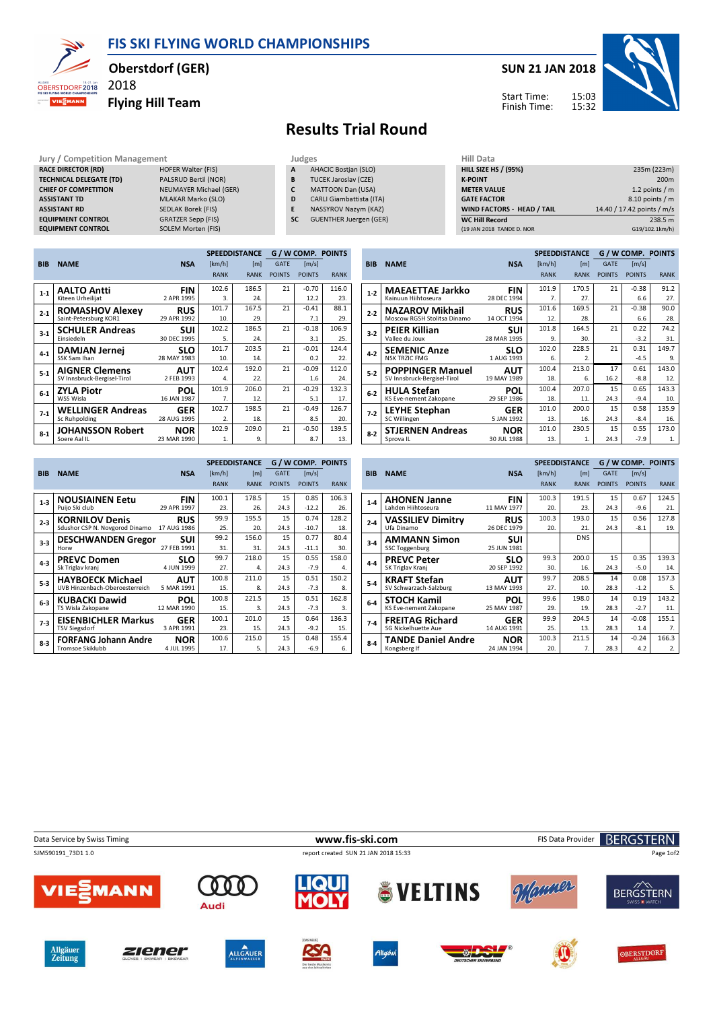FIS SKI FLYING WORLD CHAMPIONSHIPS



## Oberstdorf (GER)

Flying Hill Team



## Results Trial Round

Jury / Competition Management<br> **RACE DIRECTOR (RD)** HOFER Walter (FIS) **A AHACIC Bostjan (SLO)** HILL SIZE HILL SIZE HILL SIZE HILL SIZE **RACE DIRECTOR (RD)** TECHNICAL DELEGATE (TD) PALSRUD Bertil (NOR)<br>
CHIEF OF COMPETITION NEUMAYER Michael (C **CHIEF OF COMPETITION** NEUMAYER Michael (GER)<br> **ASSISTANT TD** MLAKAR Marko (SLO) ASSISTANT TD MLAKAR Marko (SLO)<br>ASSISTANT RD SEDLAK Borek (FIS) EQUIPMENT CONTROL GRATZER Sepp (FIS)<br>
EQUIPMENT CONTROL SOLEM Morten (FIS) **EQUIPMENT CONTROL** 

2018

SEDLAK Borek (FIS)<br>GRATZER Sepp (FIS)

- A AHACIC Bostjan (SLO)
- **B** TUCEK Jaroslav (CZE)<br>**C** MATTOON Dan (USA)
- CARLI Giambattista (ITA)
- C MATTOON Dan (USA)<br>
D CARLI Giambattista (IT<br>
E NASSYROV Nazym (KA NASSYROV Nazym (KAZ)
- SC GUENTHER Juergen (GER)

| пш иата                     |                            |
|-----------------------------|----------------------------|
| <b>HILL SIZE HS / (95%)</b> | 235m (223m)                |
| <b>K-POINT</b>              | 200 <sub>m</sub>           |
| <b>METER VALUE</b>          | 1.2 points $/m$            |
| <b>GATE FACTOR</b>          | 8.10 points / m            |
| WIND FACTORS - HEAD / TAIL  | 14.40 / 17.42 points / m/s |
| <b>WC Hill Record</b>       | 238.5 m                    |
| (19 JAN 2018 TANDE D. NOR   | G19/102.1km/h)             |
|                             |                            |

|            |                             |             |                  | <b>SPEEDDISTANCE</b> |               | <b>G/WCOMP. POINTS</b> |             |
|------------|-----------------------------|-------------|------------------|----------------------|---------------|------------------------|-------------|
| <b>BIB</b> | <b>NAME</b>                 | <b>NSA</b>  | [km/h]           | [ <sub>m</sub> ]     | <b>GATE</b>   | [m/s]                  |             |
|            |                             |             | <b>RANK</b>      | <b>RANK</b>          | <b>POINTS</b> | <b>POINTS</b>          | <b>RANK</b> |
| $1 - 1$    | <b>AALTO Antti</b>          | <b>FIN</b>  | 102.6            | 186.5                | 21            | $-0.70$                | 116.0       |
|            | Kiteen Urheilijat           | 2 APR 1995  | 3.               | 24.                  |               | 12.2                   | 23.         |
| $2 - 1$    | <b>ROMASHOV Alexey</b>      | <b>RUS</b>  | 101.7            | 167.5                | 21            | $-0.41$                | 88.1        |
|            | Saint-Petersburg KOR1       | 29 APR 1992 | 10.              | 29.                  |               | 7.1                    | 29.         |
| $3-1$      | <b>SCHULER Andreas</b>      | SUI         | 102.2            | 186.5                | 21            | $-0.18$                | 106.9       |
|            | Einsiedeln                  | 30 DEC 1995 | 5.               | 24.                  |               | 3.1                    | 25.         |
| $4 - 1$    | <b>DAMJAN Jernej</b>        | <b>SLO</b>  | 101.7            | 203.5                | 21            | $-0.01$                | 124.4       |
|            | SSK Sam Ihan                | 28 MAY 1983 | 10.              | 14.                  |               | 0.2                    | 22.         |
| $5 - 1$    | <b>AIGNER Clemens</b>       | AUT         | 102.4            | 192.0                | 21            | $-0.09$                | 112.0       |
|            | SV Innsbruck-Bergisel-Tirol | 2 FEB 1993  | 4.               | 22.                  |               | 1.6                    | 24.         |
| $6-1$      | <b>ZYLA Piotr</b>           | POL         | 101.9            | 206.0                | 21            | $-0.29$                | 132.3       |
|            | WSS Wisla                   | 16 JAN 1987 | $\overline{7}$ . | 12.                  |               | 5.1                    | 17.         |
| $7-1$      | <b>WELLINGER Andreas</b>    | <b>GER</b>  | 102.7            | 198.5                | 21            | $-0.49$                | 126.7       |
|            | Sc Ruhpolding               | 28 AUG 1995 | 2.               | 18.                  |               | 8.5                    | 20.         |
| $8-1$      | <b>JOHANSSON Robert</b>     | <b>NOR</b>  | 102.9            | 209.0                | 21            | $-0.50$                | 139.5       |
|            | Soere Aal IL                | 23 MAR 1990 | 1.               | 9.                   |               | 8.7                    | 13.         |

|            |                             |             |             | <b>SPEEDDISTANCE</b> |               | <b>G/W COMP. POINTS</b> |             |
|------------|-----------------------------|-------------|-------------|----------------------|---------------|-------------------------|-------------|
| <b>BIB</b> | <b>NAME</b>                 | <b>NSA</b>  | [km/h]      | [ <sub>m</sub> ]     | <b>GATE</b>   | [m/s]                   |             |
|            |                             |             | <b>RANK</b> | <b>RANK</b>          | <b>POINTS</b> | <b>POINTS</b>           | <b>RANK</b> |
| $1-2$      | <b>MAEAETTAE Jarkko</b>     | <b>FIN</b>  | 101.9       | 170.5                | 21            | $-0.38$                 | 91.2        |
|            | Kainuun Hiihtoseura         | 28 DEC 1994 | 7.          | 27.                  |               | 6.6                     | 27.         |
| $2 - 2$    | <b>NAZAROV Mikhail</b>      | <b>RUS</b>  | 101.6       | 169.5                | 21            | $-0.38$                 | 90.0        |
|            | Moscow RGSH Stolitsa Dinamo | 14 OCT 1994 | 12.         | 28.                  |               | 6.6                     | 28.         |
| $3 - 2$    | <b>PEIER Killian</b>        | <b>SUI</b>  | 101.8       | 164.5                | 21            | 0.22                    | 74.2        |
|            | Vallee du Joux              | 28 MAR 1995 | 9.          | 30.                  |               | $-3.2$                  | 31.         |
| $4-2$      | <b>SEMENIC Anze</b>         | SLO         | 102.0       | 228.5                | 21            | 0.31                    | 149.7       |
|            | <b>NSK TRZIC FMG</b>        | 1 AUG 1993  | 6.          | $\overline{2}$ .     |               | $-4.5$                  | 9.          |
| $5-2$      | <b>POPPINGER Manuel</b>     | AUT         | 100.4       | 213.0                | 17            | 0.61                    | 143.0       |
|            | SV Innsbruck-Bergisel-Tirol | 19 MAY 1989 | 18.         | 6.                   | 16.2          | $-8.8$                  | 12.         |
| $6-2$      | <b>HULA Stefan</b>          | <b>POL</b>  | 100.4       | 207.0                | 15            | 0.65                    | 143.3       |
|            | KS Eve-nement Zakopane      | 29 SEP 1986 | 18.         | 11.                  | 24.3          | $-9.4$                  | 10.         |
| $7-2$      | <b>LEYHE Stephan</b>        | <b>GER</b>  | 101.0       | 200.0                | 15            | 0.58                    | 135.9       |
|            | SC Willingen                | 5 JAN 1992  | 13.         | 16.                  | 24.3          | $-8.4$                  | 16.         |
| $8-2$      | <b>STJERNEN Andreas</b>     | <b>NOR</b>  | 101.0       | 230.5                | 15            | 0.55                    | 173.0       |
|            | Sprova <sub>IL</sub>        | 30 JUL 1988 | 13.         | 1.                   | 24.3          | $-7.9$                  | 1.          |

|            |                                |             |             | <b>SPEEDDISTANCE</b> |               | G / W COMP. POINTS  |             |
|------------|--------------------------------|-------------|-------------|----------------------|---------------|---------------------|-------------|
| <b>BIB</b> | <b>NAME</b>                    | <b>NSA</b>  | [km/h]      | [ <sub>m</sub> ]     | <b>GATE</b>   | $\lceil m/s \rceil$ |             |
|            |                                |             | <b>RANK</b> | <b>RANK</b>          | <b>POINTS</b> | <b>POINTS</b>       | <b>RANK</b> |
| $1-3$      | <b>NOUSIAINEN Eetu</b>         | <b>FIN</b>  | 100.1       | 178.5                | 15            | 0.85                | 106.3       |
|            | Puijo Ski club                 | 29 APR 1997 | 23.         | 26.                  | 24.3          | $-12.2$             | 26.         |
| $2 - 3$    | <b>KORNILOV Denis</b>          | <b>RUS</b>  | 99.9        | 195.5                | 15            | 0.74                | 128.2       |
|            | Sdushor CSP N. Novgorod Dinamo | 17 AUG 1986 | 25.         | 20.                  | 24.3          | $-10.7$             | 18.         |
| $3-3$      | <b>DESCHWANDEN Gregor</b>      | SUI         | 99.2        | 156.0                | 15            | 0.77                | 80.4        |
|            | Horw                           | 27 FEB 1991 | 31.         | 31.                  | 24.3          | $-11.1$             | 30.         |
| $4 - 3$    | <b>PREVC Domen</b>             | <b>SLO</b>  | 99.7        | 218.0                | 15            | 0.55                | 158.0       |
|            | Sk Triglav kranj               | 4 JUN 1999  | 27.         | 4.                   | 24.3          | $-7.9$              | 4.          |
| $5-3$      | <b>HAYBOECK Michael</b>        | <b>AUT</b>  | 100.8       | 211.0                | 15            | 0.51                | 150.2       |
|            | UVB Hinzenbach-Oberoesterreich | 5 MAR 1991  | 15.         | 8.                   | 24.3          | $-7.3$              | 8.          |
| $6 - 3$    | <b>KUBACKI Dawid</b>           | <b>POL</b>  | 100.8       | 221.5                | 15            | 0.51                | 162.8       |
|            | TS Wisla Zakopane              | 12 MAR 1990 | 15.         | 3.                   | 24.3          | $-7.3$              | 3.          |
| $7-3$      | <b>EISENBICHLER Markus</b>     | GER         | 100.1       | 201.0                | 15            | 0.64                | 136.3       |
|            | <b>TSV Siegsdorf</b>           | 3 APR 1991  | 23.         | 15.                  | 24.3          | $-9.2$              | 15.         |
| $8 - 3$    | <b>FORFANG Johann Andre</b>    | <b>NOR</b>  | 100.6       | 215.0                | 15            | 0.48                | 155.4       |
|            | <b>Tromsoe Skiklubb</b>        | 4 JUL 1995  | 17.         | 5.                   | 24.3          | $-6.9$              | 6.          |

|            |                                              |                    |             | <b>SPEEDDISTANCE</b> |               | G / W COMP. POINTS |             |
|------------|----------------------------------------------|--------------------|-------------|----------------------|---------------|--------------------|-------------|
| <b>BIB</b> | <b>NAME</b>                                  | <b>NSA</b>         | [km/h]      | [m]                  | <b>GATE</b>   | [m/s]              |             |
|            |                                              |                    | <b>RANK</b> | <b>RANK</b>          | <b>POINTS</b> | <b>POINTS</b>      | <b>RANK</b> |
| $1-4$      | <b>AHONEN Janne</b>                          | <b>FIN</b>         | 100.3       | 191.5                | 15            | 0.67               | 124.5       |
|            | Lahden Hiihtoseura                           | 11 MAY 1977        | 20.         | 23.                  | 24.3          | $-9.6$             | 21.         |
| $2 - 4$    | <b>VASSILIEV Dimitry</b>                     | <b>RUS</b>         | 100.3       | 193.0                | 15            | 0.56               | 127.8       |
|            | Ufa Dinamo                                   | 26 DEC 1979        | 20.         | 21.                  | 24.3          | $-8.1$             | 19.         |
| $3-4$      | <b>AMMANN Simon</b><br><b>SSC Toggenburg</b> | sui<br>25 JUN 1981 |             | <b>DNS</b>           |               |                    |             |
| $4 - 4$    | <b>PREVC Peter</b>                           | <b>SLO</b>         | 99.3        | 200.0                | 15            | 0.35               | 139.3       |
|            | SK Triglav Kranj                             | 20 SEP 1992        | 30.         | 16.                  | 24.3          | $-5.0$             | 14.         |
| $5-4$      | <b>KRAFT Stefan</b>                          | <b>AUT</b>         | 99.7        | 208.5                | 14            | 0.08               | 157.3       |
|            | SV Schwarzach-Salzburg                       | 13 MAY 1993        | 27.         | 10.                  | 28.3          | $-1.2$             | 5.          |
| $6-4$      | STOCH Kamil                                  | POL                | 99.6        | 198.0                | 14            | 0.19               | 143.2       |
|            | KS Eve-nement Zakopane                       | 25 MAY 1987        | 29.         | 19.                  | 28.3          | $-2.7$             | 11.         |
| $7-4$      | <b>FREITAG Richard</b>                       | <b>GER</b>         | 99.9        | 204.5                | 14            | $-0.08$            | 155.1       |
|            | <b>SG Nickelhuette Aue</b>                   | 14 AUG 1991        | 25.         | 13.                  | 28.3          | 1.4                | 7.          |
| $8-4$      | <b>TANDE Daniel Andre</b>                    | <b>NOR</b>         | 100.3       | 211.5                | 14            | $-0.24$            | 166.3       |
|            | Kongsberg If                                 | 24 JAN 1994        | 20.         | 7.                   | 28.3          | 4.2                | 2.          |